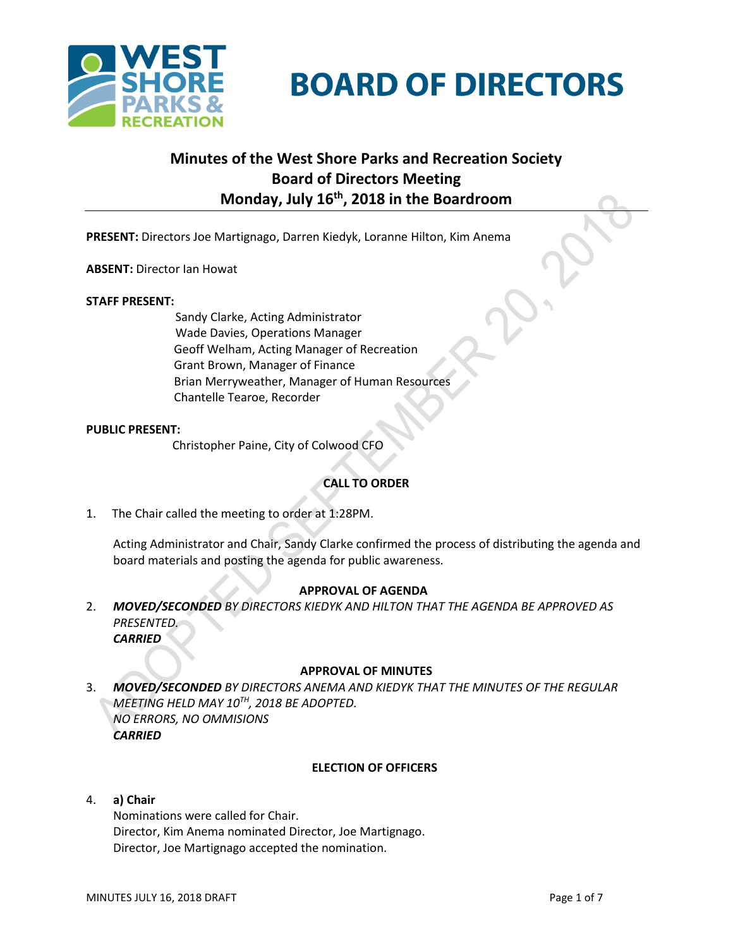

# **BOARD OF DIRECTORS**

# **Minutes of the West Shore Parks and Recreation Society Board of Directors Meeting Monday, July 16th , 2018 in the Boardroom**

**PRESENT:** Directors Joe Martignago, Darren Kiedyk, Loranne Hilton, Kim Anema

**ABSENT:** Director Ian Howat

# **STAFF PRESENT:**

Sandy Clarke, Acting Administrator Wade Davies, Operations Manager Geoff Welham, Acting Manager of Recreation Grant Brown, Manager of Finance Brian Merryweather, Manager of Human Resources Chantelle Tearoe, Recorder

# **PUBLIC PRESENT:**

Christopher Paine, City of Colwood CFO

# **CALL TO ORDER**

1. The Chair called the meeting to order at 1:28PM.

Acting Administrator and Chair, Sandy Clarke confirmed the process of distributing the agenda and board materials and posting the agenda for public awareness.

# **APPROVAL OF AGENDA**

2. *MOVED/SECONDED BY DIRECTORS KIEDYK AND HILTON THAT THE AGENDA BE APPROVED AS PRESENTED. CARRIED*

#### **APPROVAL OF MINUTES**

3. *MOVED/SECONDED BY DIRECTORS ANEMA AND KIEDYK THAT THE MINUTES OF THE REGULAR MEETING HELD MAY 10TH , 2018 BE ADOPTED. NO ERRORS, NO OMMISIONS CARRIED*

# **ELECTION OF OFFICERS**

#### 4. **a) Chair**

Nominations were called for Chair. Director, Kim Anema nominated Director, Joe Martignago. Director, Joe Martignago accepted the nomination.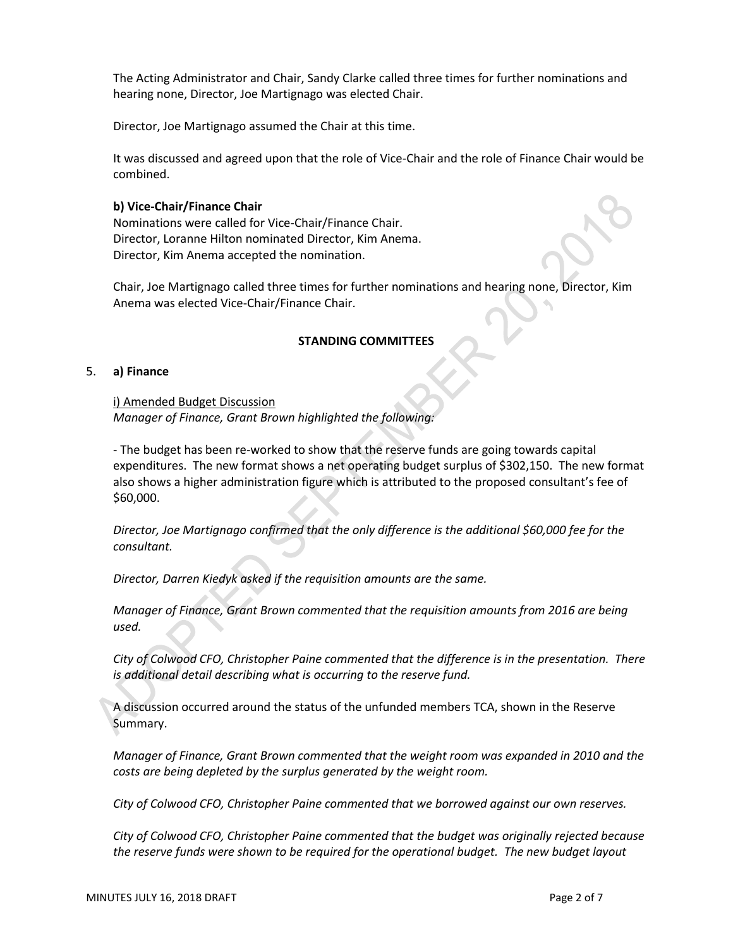The Acting Administrator and Chair, Sandy Clarke called three times for further nominations and hearing none, Director, Joe Martignago was elected Chair.

Director, Joe Martignago assumed the Chair at this time.

It was discussed and agreed upon that the role of Vice-Chair and the role of Finance Chair would be combined.

# **b) Vice-Chair/Finance Chair**

Nominations were called for Vice-Chair/Finance Chair. Director, Loranne Hilton nominated Director, Kim Anema. Director, Kim Anema accepted the nomination.

Chair, Joe Martignago called three times for further nominations and hearing none, Director, Kim Anema was elected Vice-Chair/Finance Chair.

# **STANDING COMMITTEES**

# 5. **a) Finance**

i) Amended Budget Discussion *Manager of Finance, Grant Brown highlighted the following:*

- The budget has been re-worked to show that the reserve funds are going towards capital expenditures. The new format shows a net operating budget surplus of \$302,150. The new format also shows a higher administration figure which is attributed to the proposed consultant's fee of \$60,000.

*Director, Joe Martignago confirmed that the only difference is the additional \$60,000 fee for the consultant.*

*Director, Darren Kiedyk asked if the requisition amounts are the same.*

*Manager of Finance, Grant Brown commented that the requisition amounts from 2016 are being used.*

*City of Colwood CFO, Christopher Paine commented that the difference is in the presentation. There is additional detail describing what is occurring to the reserve fund.*

A discussion occurred around the status of the unfunded members TCA, shown in the Reserve Summary.

*Manager of Finance, Grant Brown commented that the weight room was expanded in 2010 and the costs are being depleted by the surplus generated by the weight room.*

*City of Colwood CFO, Christopher Paine commented that we borrowed against our own reserves.*

*City of Colwood CFO, Christopher Paine commented that the budget was originally rejected because the reserve funds were shown to be required for the operational budget. The new budget layout*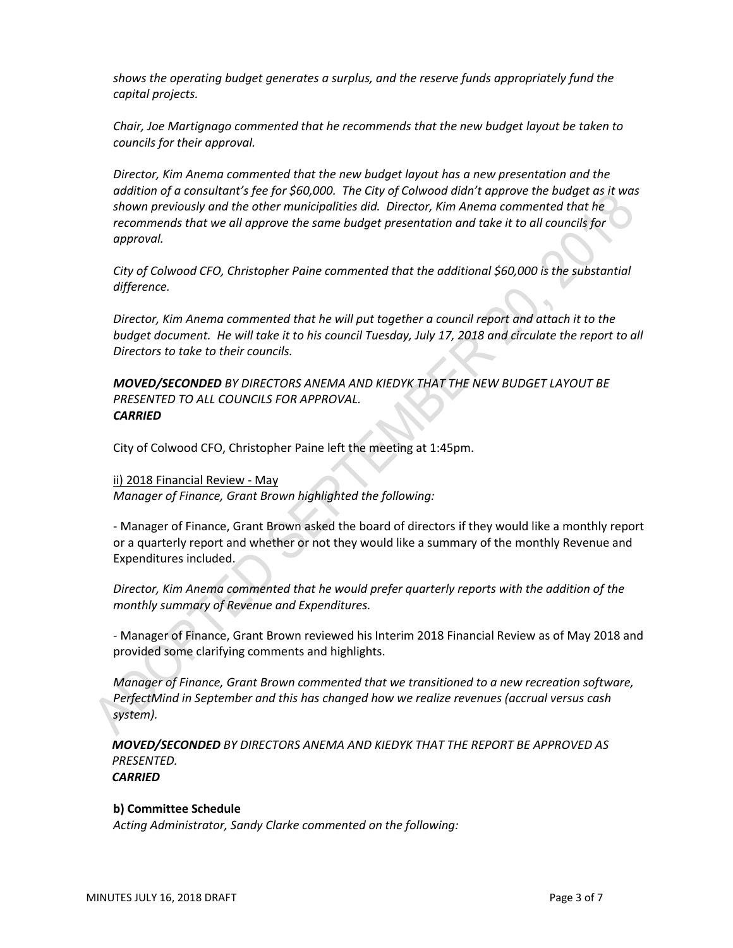*shows the operating budget generates a surplus, and the reserve funds appropriately fund the capital projects.*

*Chair, Joe Martignago commented that he recommends that the new budget layout be taken to councils for their approval.*

*Director, Kim Anema commented that the new budget layout has a new presentation and the addition of a consultant's fee for \$60,000. The City of Colwood didn't approve the budget as it was shown previously and the other municipalities did. Director, Kim Anema commented that he recommends that we all approve the same budget presentation and take it to all councils for approval.*

*City of Colwood CFO, Christopher Paine commented that the additional \$60,000 is the substantial difference.*

*Director, Kim Anema commented that he will put together a council report and attach it to the budget document. He will take it to his council Tuesday, July 17, 2018 and circulate the report to all Directors to take to their councils.*

*MOVED/SECONDED BY DIRECTORS ANEMA AND KIEDYK THAT THE NEW BUDGET LAYOUT BE PRESENTED TO ALL COUNCILS FOR APPROVAL. CARRIED*

City of Colwood CFO, Christopher Paine left the meeting at 1:45pm.

ii) 2018 Financial Review - May

*Manager of Finance, Grant Brown highlighted the following:*

- Manager of Finance, Grant Brown asked the board of directors if they would like a monthly report or a quarterly report and whether or not they would like a summary of the monthly Revenue and Expenditures included.

*Director, Kim Anema commented that he would prefer quarterly reports with the addition of the monthly summary of Revenue and Expenditures.*

- Manager of Finance, Grant Brown reviewed his Interim 2018 Financial Review as of May 2018 and provided some clarifying comments and highlights.

*Manager of Finance, Grant Brown commented that we transitioned to a new recreation software, PerfectMind in September and this has changed how we realize revenues (accrual versus cash system).*

*MOVED/SECONDED BY DIRECTORS ANEMA AND KIEDYK THAT THE REPORT BE APPROVED AS PRESENTED. CARRIED*

**b) Committee Schedule**

*Acting Administrator, Sandy Clarke commented on the following:*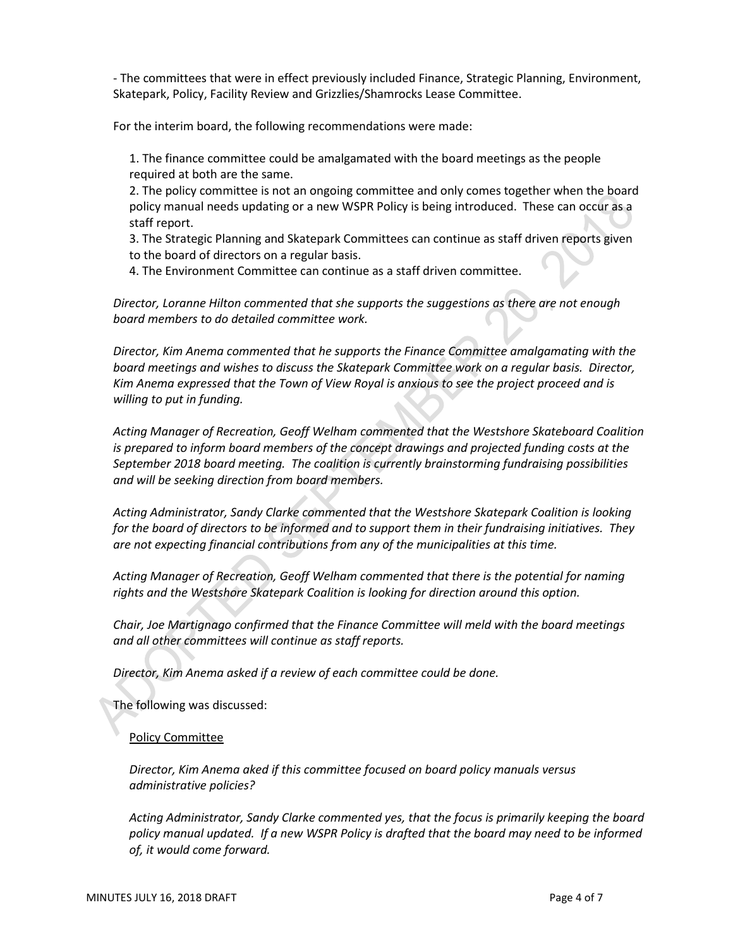- The committees that were in effect previously included Finance, Strategic Planning, Environment, Skatepark, Policy, Facility Review and Grizzlies/Shamrocks Lease Committee.

For the interim board, the following recommendations were made:

1. The finance committee could be amalgamated with the board meetings as the people required at both are the same.

2. The policy committee is not an ongoing committee and only comes together when the board policy manual needs updating or a new WSPR Policy is being introduced. These can occur as a staff report.

3. The Strategic Planning and Skatepark Committees can continue as staff driven reports given to the board of directors on a regular basis.

4. The Environment Committee can continue as a staff driven committee.

*Director, Loranne Hilton commented that she supports the suggestions as there are not enough board members to do detailed committee work.*

*Director, Kim Anema commented that he supports the Finance Committee amalgamating with the board meetings and wishes to discuss the Skatepark Committee work on a regular basis. Director, Kim Anema expressed that the Town of View Royal is anxious to see the project proceed and is willing to put in funding.*

*Acting Manager of Recreation, Geoff Welham commented that the Westshore Skateboard Coalition is prepared to inform board members of the concept drawings and projected funding costs at the September 2018 board meeting. The coalition is currently brainstorming fundraising possibilities and will be seeking direction from board members.*

*Acting Administrator, Sandy Clarke commented that the Westshore Skatepark Coalition is looking for the board of directors to be informed and to support them in their fundraising initiatives. They are not expecting financial contributions from any of the municipalities at this time.*

*Acting Manager of Recreation, Geoff Welham commented that there is the potential for naming rights and the Westshore Skatepark Coalition is looking for direction around this option.*

*Chair, Joe Martignago confirmed that the Finance Committee will meld with the board meetings and all other committees will continue as staff reports.*

*Director, Kim Anema asked if a review of each committee could be done.* 

The following was discussed:

#### Policy Committee

*Director, Kim Anema aked if this committee focused on board policy manuals versus administrative policies?*

*Acting Administrator, Sandy Clarke commented yes, that the focus is primarily keeping the board*  policy manual updated. If a new WSPR Policy is drafted that the board may need to be informed *of, it would come forward.*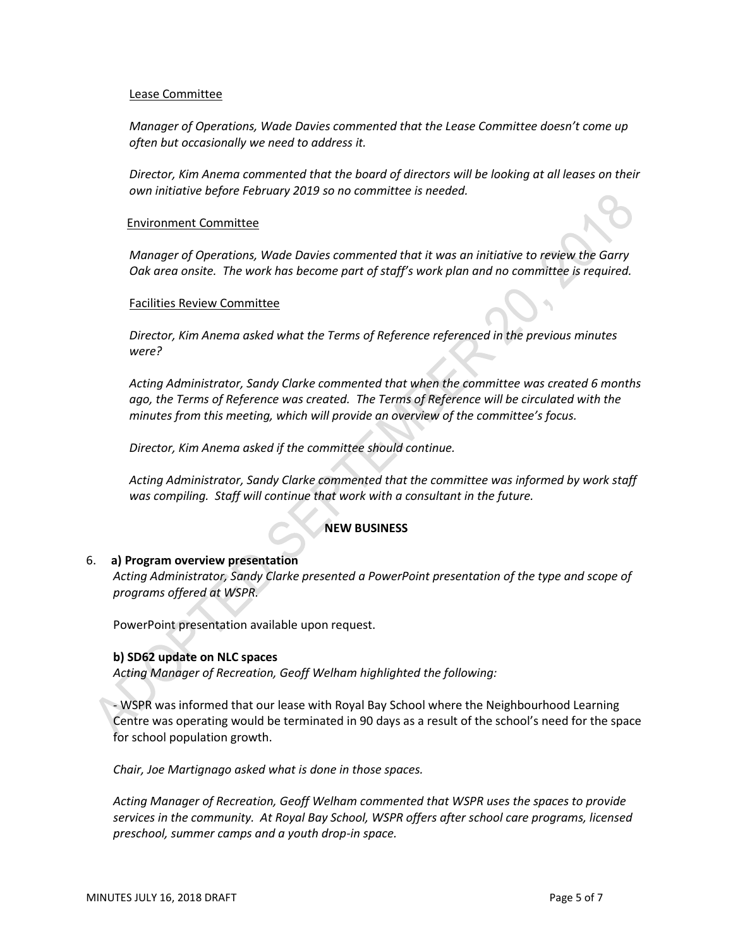#### Lease Committee

*Manager of Operations, Wade Davies commented that the Lease Committee doesn't come up often but occasionally we need to address it.*

*Director, Kim Anema commented that the board of directors will be looking at all leases on their own initiative before February 2019 so no committee is needed.*

#### Environment Committee

*Manager of Operations, Wade Davies commented that it was an initiative to review the Garry Oak area onsite. The work has become part of staff's work plan and no committee is required.*

#### Facilities Review Committee

*Director, Kim Anema asked what the Terms of Reference referenced in the previous minutes were?*

*Acting Administrator, Sandy Clarke commented that when the committee was created 6 months ago, the Terms of Reference was created. The Terms of Reference will be circulated with the minutes from this meeting, which will provide an overview of the committee's focus.*

*Director, Kim Anema asked if the committee should continue.*

*Acting Administrator, Sandy Clarke commented that the committee was informed by work staff was compiling. Staff will continue that work with a consultant in the future.*

# **NEW BUSINESS**

#### 6. **a) Program overview presentation**

*Acting Administrator, Sandy Clarke presented a PowerPoint presentation of the type and scope of programs offered at WSPR.*

PowerPoint presentation available upon request.

#### **b) SD62 update on NLC spaces**

*Acting Manager of Recreation, Geoff Welham highlighted the following:*

- WSPR was informed that our lease with Royal Bay School where the Neighbourhood Learning Centre was operating would be terminated in 90 days as a result of the school's need for the space for school population growth.

*Chair, Joe Martignago asked what is done in those spaces.*

*Acting Manager of Recreation, Geoff Welham commented that WSPR uses the spaces to provide services in the community. At Royal Bay School, WSPR offers after school care programs, licensed preschool, summer camps and a youth drop-in space.*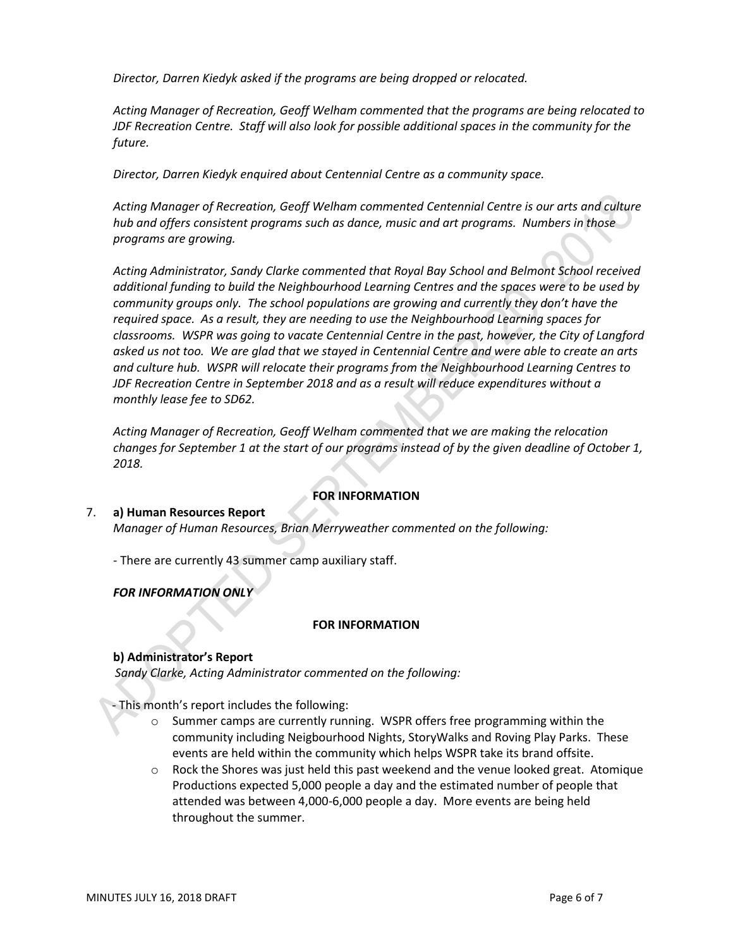*Director, Darren Kiedyk asked if the programs are being dropped or relocated.*

*Acting Manager of Recreation, Geoff Welham commented that the programs are being relocated to JDF Recreation Centre. Staff will also look for possible additional spaces in the community for the future.*

*Director, Darren Kiedyk enquired about Centennial Centre as a community space.*

*Acting Manager of Recreation, Geoff Welham commented Centennial Centre is our arts and culture hub and offers consistent programs such as dance, music and art programs. Numbers in those programs are growing.*

*Acting Administrator, Sandy Clarke commented that Royal Bay School and Belmont School received additional funding to build the Neighbourhood Learning Centres and the spaces were to be used by community groups only. The school populations are growing and currently they don't have the required space. As a result, they are needing to use the Neighbourhood Learning spaces for classrooms. WSPR was going to vacate Centennial Centre in the past, however, the City of Langford asked us not too. We are glad that we stayed in Centennial Centre and were able to create an arts and culture hub. WSPR will relocate their programs from the Neighbourhood Learning Centres to JDF Recreation Centre in September 2018 and as a result will reduce expenditures without a monthly lease fee to SD62.*

*Acting Manager of Recreation, Geoff Welham commented that we are making the relocation changes for September 1 at the start of our programs instead of by the given deadline of October 1, 2018.*

#### **FOR INFORMATION**

# 7. **a) Human Resources Report**  *Manager of Human Resources, Brian Merryweather commented on the following:*

- There are currently 43 summer camp auxiliary staff.

*FOR INFORMATION ONLY*

#### **FOR INFORMATION**

# **b) Administrator's Report**

*Sandy Clarke, Acting Administrator commented on the following:*

- This month's report includes the following:

- o Summer camps are currently running. WSPR offers free programming within the community including Neigbourhood Nights, StoryWalks and Roving Play Parks. These events are held within the community which helps WSPR take its brand offsite.
- $\circ$  Rock the Shores was just held this past weekend and the venue looked great. Atomique Productions expected 5,000 people a day and the estimated number of people that attended was between 4,000-6,000 people a day. More events are being held throughout the summer.